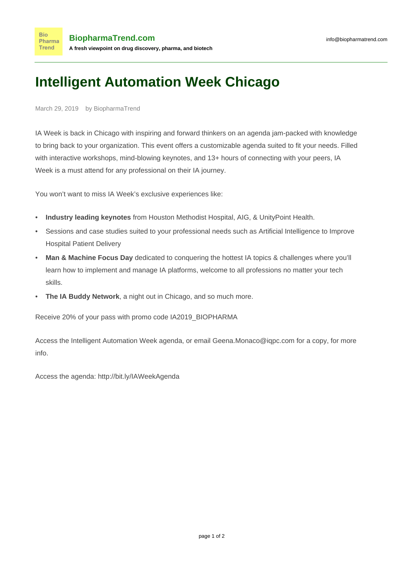## **Intelligent Automation Week Chicago**

## March 29, 2019 by BiopharmaTrend

**Bio** 

IA Week is back in Chicago with inspiring and forward thinkers on an agenda jam-packed with knowledge to bring back to your organization. This event offers a customizable agenda suited to fit your needs. Filled with interactive workshops, mind-blowing keynotes, and 13+ hours of connecting with your peers, IA Week is a must attend for any professional on their IA journey.

You won't want to miss IA Week's exclusive experiences like:

- **Industry leading keynotes** from Houston Methodist Hospital, AIG, & UnityPoint Health.
- Sessions and case studies suited to your professional needs such as Artificial Intelligence to Improve Hospital Patient Delivery
- **Man & Machine Focus Day** dedicated to conquering the hottest IA topics & challenges where you'll learn how to implement and manage IA platforms, welcome to all professions no matter your tech skills.
- **The IA Buddy Network**, a night out in Chicago, and so much more.

Receive 20% of your pass with promo code IA2019\_BIOPHARMA

Access the Intelligent Automation Week agenda, or email Geena.Monaco@iqpc.com for a copy, for more info.

Access the agenda: <http://bit.ly/IAWeekAgenda>